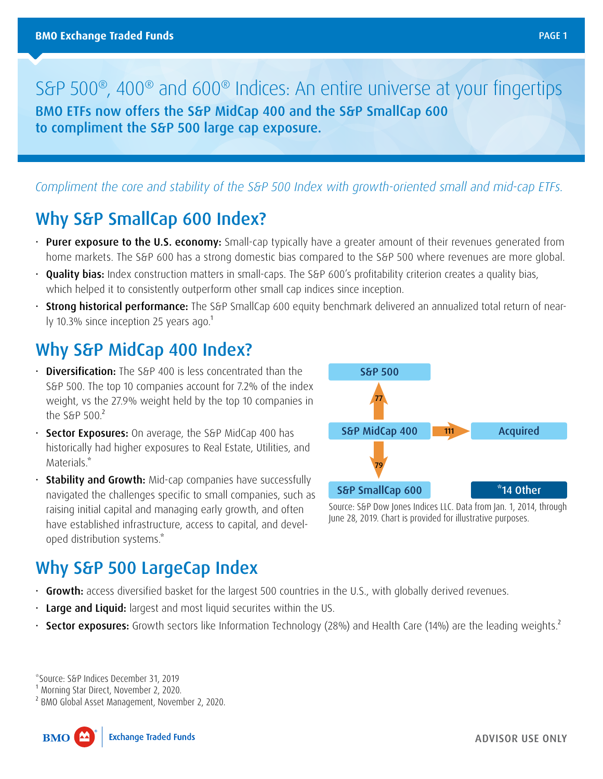S&P 500®, 400® and 600® Indices: An entire universe at your fingertips BMO ETFs now offers the S&P MidCap 400 and the S&P SmallCap 600 to compliment the S&P 500 large cap exposure.

#### *Compliment the core and stability of the S&P 500 Index with growth-oriented small and mid-cap ETFs.*

## Why S&P SmallCap 600 Index?

- Purer exposure to the U.S. economy: Small-cap typically have a greater amount of their revenues generated from home markets. The S&P 600 has a strong domestic bias compared to the S&P 500 where revenues are more global.
- **Quality bias:** Index construction matters in small-caps. The S&P 600's profitability criterion creates a quality bias, which helped it to consistently outperform other small cap indices since inception.
- Strong historical performance: The S&P SmallCap 600 equity benchmark delivered an annualized total return of nearly 10.3% since inception 25 years ago.<sup>1</sup>

### Why S&P MidCap 400 Index?

- $\cdot$  Diversification: The S&P 400 is less concentrated than the S&P 500. The top 10 companies account for 7.2% of the index weight, vs the 27.9% weight held by the top 10 companies in the S&P  $500<sup>2</sup>$
- Sector Exposures: On average, the S&P MidCap 400 has historically had higher exposures to Real Estate, Utilities, and Materials.\*
- $\cdot$  Stability and Growth: Mid-cap companies have successfully navigated the challenges specific to small companies, such as raising initial capital and managing early growth, and often have established infrastructure, access to capital, and developed distribution systems.\*



Source: S&P Dow Jones Indices LLC. Data from Jan. 1, 2014, through June 28, 2019. Chart is provided for illustrative purposes.

### Why S&P 500 LargeCap Index

- Growth: access diversified basket for the largest 500 countries in the U.S., with globally derived revenues.
- Large and Liquid: largest and most liquid securites within the US.
- Sector exposures: Growth sectors like Information Technology (28%) and Health Care (14%) are the leading weights.<sup>2</sup>

\*Source: S&P Indices December 31, 2019

<sup>1</sup> Morning Star Direct, November 2, 2020.

² BMO Global Asset Management, November 2, 2020.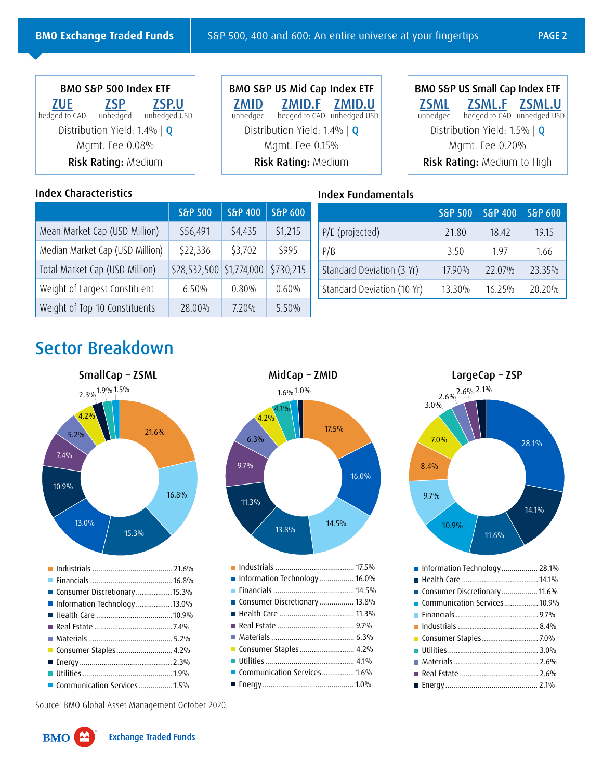| BMO S&P 500 Index ETF              |            |                                     |  |  |
|------------------------------------|------------|-------------------------------------|--|--|
| <b>ZUE</b>                         | <b>ZSP</b> | <b>ZSP.U</b>                        |  |  |
|                                    |            | hedged to CAD unhedged unhedged USD |  |  |
| Distribution Yield: 1.4% $\vert$ Q |            |                                     |  |  |
| Mgmt. Fee 0.08%                    |            |                                     |  |  |
| Risk Rating: Medium                |            |                                     |  |  |

#### Index Characteristics

BMO S&P US Mid Cap Index ETF **[ZMID](https://www.bmo.com/gam/ca/advisor/products/etfs?fundUrl=/fundProfile/ZMID#fundUrl=%2FfundProfile%2FMID) [ZMID.F](https://www.bmo.com/gam/ca/advisor/products/etfs?fundUrl=/fundProfile/ZMID.F#fundUrl=%2FfundProfile%2FMID.F) ZMID.U**<br>unhedged **hedged** to CAD unhedged USI hedged to CAD unhedged USD Distribution Yield: 1.4% | **Q** Mgmt. Fee 0.15% Risk Rating: Medium

|             | BMO S&P US Small Cap Index ETF      |  |
|-------------|-------------------------------------|--|
| <u>ZSML</u> | ZSML.F ZSML.U                       |  |
|             | unhedged hedged to CAD unhedged USD |  |
|             | Distribution Yield: 1.5%   $Q$      |  |
|             | Mgmt. Fee 0.20%                     |  |
|             | Risk Rating: Medium to High         |  |

#### Index Fundamentals

|                                 | S&P 500                  | S&P 400 | S&P 600   |
|---------------------------------|--------------------------|---------|-----------|
| Mean Market Cap (USD Million)   | \$56,491                 | \$4,435 | \$1,215   |
| Median Market Cap (USD Million) | \$22,336                 | \$3,702 | \$995     |
| Total Market Cap (USD Million)  | \$28,532,500 \$1,774,000 |         | \$730,215 |
| Weight of Largest Constituent   | 6.50%                    | 0.80%   | 0.60%     |
| Weight of Top 10 Constituents   | 28.00%                   | 7.20%   | 5.50%     |

|                            | S&P 500 | S&P 400 | S&P 600 |
|----------------------------|---------|---------|---------|
| P/E (projected)            | 21.80   | 18.42   | 19.15   |
| P/B                        | 3.50    | 197     | 1.66    |
| Standard Deviation (3 Yr)  | 17.90%  | 22.07%  | 23.35%  |
| Standard Deviation (10 Yr) | 13.30%  | 16.25%  | 20.20%  |

# Sector Breakdown







| ■ Information Technology 28.1% |  |
|--------------------------------|--|
|                                |  |
| ■ Consumer Discretionary11.6%  |  |
| Communication Services 10.9%   |  |
|                                |  |
|                                |  |
|                                |  |
|                                |  |
|                                |  |
|                                |  |
|                                |  |
|                                |  |

Source: BMO Global Asset Management October 2020.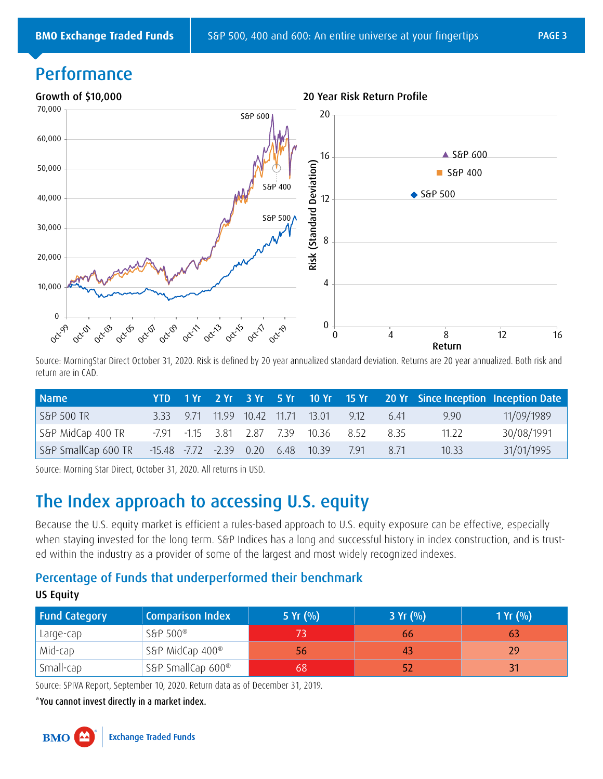0

# Performance



20 return are in CAD. Source: MorningStar Direct October 31, 2020. Risk is defined by 20 year annualized standard deviation. Returns are 20 year annualized. Both risk and

| <b>Name</b>                                                                                                             | YTD.     | $-1$ Yr |              |       |       | 2 Yr 3 Yr 5 Yr 10 Yr 15 Yr |      |      | 20 Yr Since Inception Inception Date |            |
|-------------------------------------------------------------------------------------------------------------------------|----------|---------|--------------|-------|-------|----------------------------|------|------|--------------------------------------|------------|
| S&P 500 TR                                                                                                              | 3.33     | 971     | 11.99        | 10.42 | 11.71 | 13.01                      | 9.12 | 6.41 | 9.90                                 | 11/09/1989 |
| S&P MidCap 400 TR                                                                                                       | -7.91    | $-1.15$ | 3.81         | 2.87  | 7.39  | 10.36                      | 8.52 | 8.35 | 11.22                                | 30/08/1991 |
| S&P SmallCap 600 TR                                                                                                     | $-15.48$ | $-7.72$ | $-2.39$ 0.20 |       | 6.48  | 10.39                      | 7.91 | 8.71 | 10.33                                | 31/01/1995 |
| Source: Morning Star Direct, October 31, 2020. All returns in USD.                                                      |          |         |              |       |       |                            |      |      |                                      |            |
| The Index approach to accessing U.S. equity                                                                             |          |         |              |       |       |                            |      |      |                                      |            |
| Because the U.S. equity market is efficient a rules-based approach to U.S. equity exposure can be effective, especially |          |         |              |       |       |                            |      |      |                                      |            |

## 8 The Index approach to accessing U.S. equity

when staying invested for the long term. S&P Indices has a long and successful history in index construction, and is trust-Because the U.S. equity market is efficient a rules-based approach to U.S. equity exposure can be effective, especially ed within the industry as a provider of some of the largest and most widely recognized indexes.

#### 0 Percentage of Funds that underperformed their benchmark US Equity **Example 19**

| <b>Fund Category</b> | <b>Comparison Index</b>     | 5 $Yr(96)$ | 3 Yr (%) | 1 $Yr(%)$ |
|----------------------|-----------------------------|------------|----------|-----------|
| Large-cap            | S&P 500 <sup>®</sup>        |            | 66       |           |
| Mid-cap              | S&P MidCap 400 <sup>®</sup> | 56         | 43       | 29        |
| Small-cap            | S&P SmallCap 600®           |            | 52       |           |

Source: SPIVA Report, September 10, 2020. Return data as of December 31, 2019.

\*You cannot invest directly in a market index.